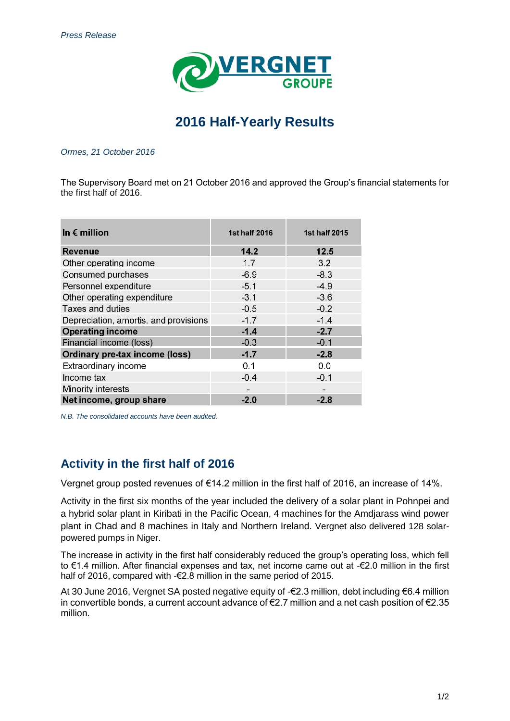

# **2016 Half-Yearly Results**

### *Ormes, 21 October 2016*

The Supervisory Board met on 21 October 2016 and approved the Group's financial statements for the first half of 2016.

| In $\epsilon$ million                 | <b>1st half 2016</b> | <b>1st half 2015</b> |
|---------------------------------------|----------------------|----------------------|
| <b>Revenue</b>                        | 14.2                 | 12.5                 |
| Other operating income                | 1.7                  | 3.2                  |
| Consumed purchases                    | $-6.9$               | $-8.3$               |
| Personnel expenditure                 | $-5.1$               | $-4.9$               |
| Other operating expenditure           | $-3.1$               | $-3.6$               |
| <b>Taxes and duties</b>               | $-0.5$               | $-0.2$               |
| Depreciation, amortis, and provisions | $-1.7$               | $-1.4$               |
| <b>Operating income</b>               | $-14$                | $-2.7$               |
| Financial income (loss)               | $-0.3$               | $-0.1$               |
| <b>Ordinary pre-tax income (loss)</b> | $-1.7$               | $-2.8$               |
| Extraordinary income                  | 0.1                  | 0.0                  |
| Income tax                            | $-0.4$               | $-0.1$               |
| Minority interests                    |                      |                      |
| Net income, group share               | $-2.0$               | $-2.8$               |

*N.B. The consolidated accounts have been audited.* 

## **Activity in the first half of 2016**

Vergnet group posted revenues of €14.2 million in the first half of 2016, an increase of 14%.

Activity in the first six months of the year included the delivery of a solar plant in Pohnpei and a hybrid solar plant in Kiribati in the Pacific Ocean, 4 machines for the Amdjarass wind power plant in Chad and 8 machines in Italy and Northern Ireland. Vergnet also delivered 128 solarpowered pumps in Niger.

The increase in activity in the first half considerably reduced the group's operating loss, which fell to €1.4 million. After financial expenses and tax, net income came out at -€2.0 million in the first half of 2016, compared with -€2.8 million in the same period of 2015.

At 30 June 2016, Vergnet SA posted negative equity of -€2.3 million, debt including €6.4 million in convertible bonds, a current account advance of  $\epsilon$ 2.7 million and a net cash position of  $\epsilon$ 2.35 million.